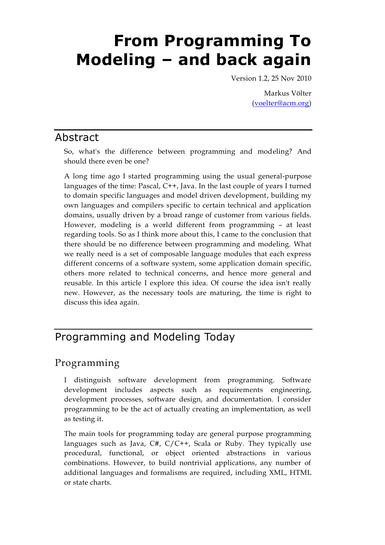# **From Programming To Modeling – and back again**

Version 1.2, 25 Nov 2010

Markus Völter [\(voelter@acm.org\)](mailto:voelter@acm.org)

#### Abstract

So, what's the difference between programming and modeling? And should there even be one?

A long time ago I started programming using the usual general-purpose languages of the time: Pascal, C++, Java. In the last couple of years I turned to domain specific languages and model driven development, building my own languages and compilers specific to certain technical and application domains, usually driven by a broad range of customer from various fields. However, modeling is a world different from programming – at least regarding tools. So as I think more about this, I came to the conclusion that there should be no difference between programming and modeling. What we really need is a set of composable language modules that each express different concerns of a software system, some application domain specific, others more related to technical concerns, and hence more general and reusable. In this article I explore this idea. Of course the idea isn't really new. However, as the necessary tools are maturing, the time is right to discuss this idea again.

# Programming and Modeling Today

## Programming

I distinguish software development from programming. Software development includes aspects such as requirements engineering, development processes, software design, and documentation. I consider programming to be the act of actually creating an implementation, as well as testing it.

The main tools for programming today are general purpose programming languages such as Java,  $C#$ ,  $C/C++$ , Scala or Ruby. They typically use procedural, functional, or object oriented abstractions in various combinations. However, to build nontrivial applications, any number of additional languages and formalisms are required, including XML, HTML or state charts.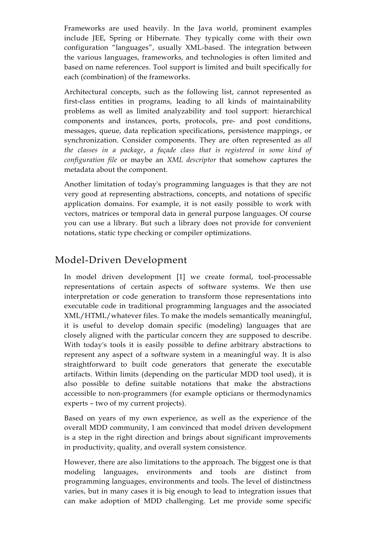Frameworks are used heavily. In the Java world, prominent examples include JEE, Spring or Hibernate. They typically come with their own configuration "languages", usually XML-based. The integration between the various languages, frameworks, and technologies is often limited and based on name references. Tool support is limited and built specifically for each (combination) of the frameworks.

Architectural concepts, such as the following list, cannot represented as first-class entities in programs, leading to all kinds of maintainability problems as well as limited analyzability and tool support: hierarchical components and instances, ports, protocols, pre- and post conditions, messages, queue, data replication specifications, persistence mappings, or synchronization. Consider components. They are often represented as *all the classes in a package*, *a façade class that is registered in some kind of configuration file* or maybe an *XML descriptor* that somehow captures the metadata about the component.

Another limitation of today's programming languages is that they are not very good at representing abstractions, concepts, and notations of specific application domains. For example, it is not easily possible to work with vectors, matrices or temporal data in general purpose languages. Of course you can use a library. But such a library does not provide for convenient notations, static type checking or compiler optimizations.

#### Model-Driven Development

In model driven development [1] we create formal, tool-processable representations of certain aspects of software systems. We then use interpretation or code generation to transform those representations into executable code in traditional programming languages and the associated XML/HTML/whatever files. To make the models semantically meaningful, it is useful to develop domain specific (modeling) languages that are closely aligned with the particular concern they are supposed to describe. With today's tools it is easily possible to define arbitrary abstractions to represent any aspect of a software system in a meaningful way. It is also straightforward to built code generators that generate the executable artifacts. Within limits (depending on the particular MDD tool used), it is also possible to define suitable notations that make the abstractions accessible to non-programmers (for example opticians or thermodynamics experts – two of my current projects).

Based on years of my own experience, as well as the experience of the overall MDD community, I am convinced that model driven development is a step in the right direction and brings about significant improvements in productivity, quality, and overall system consistence.

However, there are also limitations to the approach. The biggest one is that modeling languages, environments and tools are distinct from programming languages, environments and tools. The level of distinctness varies, but in many cases it is big enough to lead to integration issues that can make adoption of MDD challenging. Let me provide some specific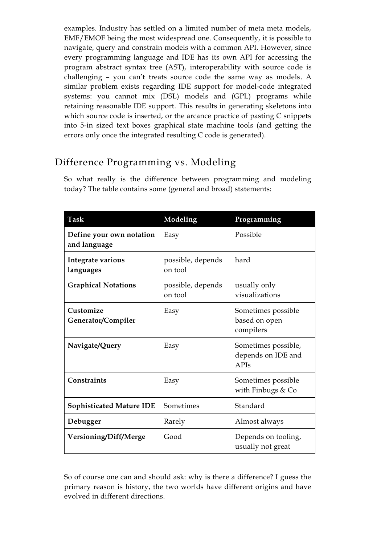examples. Industry has settled on a limited number of meta meta models, EMF/EMOF being the most widespread one. Consequently, it is possible to navigate, query and constrain models with a common API. However, since every programming language and IDE has its own API for accessing the program abstract syntax tree (AST), interoperability with source code is challenging – you can't treats source code the same way as models. A similar problem exists regarding IDE support for model-code integrated systems: you cannot mix (DSL) models and (GPL) programs while retaining reasonable IDE support. This results in generating skeletons into which source code is inserted, or the arcance practice of pasting C snippets into 5-in sized text boxes graphical state machine tools (and getting the errors only once the integrated resulting C code is generated).

#### Difference Programming vs. Modeling

| Task                                     | Modeling                     | Programming                                       |
|------------------------------------------|------------------------------|---------------------------------------------------|
| Define your own notation<br>and language | Easy                         | Possible                                          |
| Integrate various<br>languages           | possible, depends<br>on tool | hard                                              |
| <b>Graphical Notations</b>               | possible, depends<br>on tool | usually only<br>visualizations                    |
| Customize<br>Generator/Compiler          | Easy                         | Sometimes possible<br>based on open<br>compilers  |
| Navigate/Query                           | Easy                         | Sometimes possible,<br>depends on IDE and<br>APIs |
| Constraints                              | Easy                         | Sometimes possible<br>with Finbugs & Co           |
| <b>Sophisticated Mature IDE</b>          | Sometimes                    | Standard                                          |
| Debugger                                 | Rarely                       | Almost always                                     |
| Versioning/Diff/Merge                    | Good                         | Depends on tooling,<br>usually not great          |

So what really is the difference between programming and modeling today? The table contains some (general and broad) statements:

So of course one can and should ask: why is there a difference? I guess the primary reason is history, the two worlds have different origins and have evolved in different directions.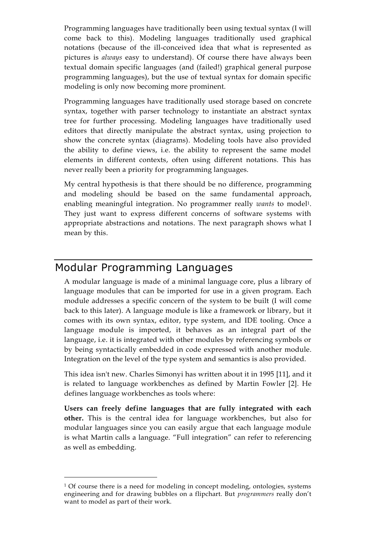Programming languages have traditionally been using textual syntax (I will come back to this). Modeling languages traditionally used graphical notations (because of the ill-conceived idea that what is represented as pictures is *always* easy to understand). Of course there have always been textual domain specific languages (and (failed!) graphical general purpose programming languages), but the use of textual syntax for domain specific modeling is only now becoming more prominent.

Programming languages have traditionally used storage based on concrete syntax, together with parser technology to instantiate an abstract syntax tree for further processing. Modeling languages have traditionally used editors that directly manipulate the abstract syntax, using projection to show the concrete syntax (diagrams). Modeling tools have also provided the ability to define views, i.e. the ability to represent the same model elements in different contexts, often using different notations. This has never really been a priority for programming languages.

My central hypothesis is that there should be no difference, programming and modeling should be based on the same fundamental approach, enabling meaningful integration. No programmer really *wants* to model1. They just want to express different concerns of software systems with appropriate abstractions and notations. The next paragraph shows what I mean by this.

# Modular Programming Languages

 $\overline{a}$ 

A modular language is made of a minimal language core, plus a library of language modules that can be imported for use in a given program. Each module addresses a specific concern of the system to be built (I will come back to this later). A language module is like a framework or library, but it comes with its own syntax, editor, type system, and IDE tooling. Once a language module is imported, it behaves as an integral part of the language, i.e. it is integrated with other modules by referencing symbols or by being syntactically embedded in code expressed with another module. Integration on the level of the type system and semantics is also provided.

This idea isn't new. Charles Simonyi has written about it in 1995 [11], and it is related to language workbenches as defined by Martin Fowler [2]. He defines language workbenches as tools where:

**Users can freely define languages that are fully integrated with each other.** This is the central idea for language workbenches, but also for modular languages since you can easily argue that each language module is what Martin calls a language. "Full integration" can refer to referencing as well as embedding.

 $1$  Of course there is a need for modeling in concept modeling, ontologies, systems engineering and for drawing bubbles on a flipchart. But *programmers* really don't want to model as part of their work.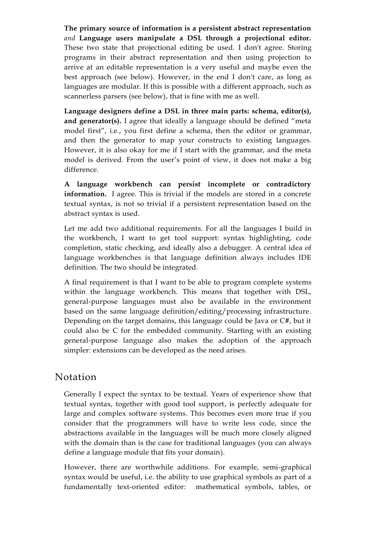**The primary source of information is a persistent abstract representation** *and* **Language users manipulate a DSL through a projectional editor.** These two state that projectional editing be used. I don't agree. Storing programs in their abstract representation and then using projection to arrive at an editable representation is a very useful and maybe even the best approach (see below). However, in the end I don't care, as long as languages are modular. If this is possible with a different approach, such as scannerless parsers (see below), that is fine with me as well.

**Language designers define a DSL in three main parts: schema, editor(s), and generator(s).** I agree that ideally a language should be defined "meta" model first", i.e., you first define a schema, then the editor or grammar, and then the generator to map your constructs to existing languages. However, it is also okay for me if I start with the grammar, and the meta model is derived. From the user's point of view, it does not make a big difference.

**A language workbench can persist incomplete or contradictory information.** I agree. This is trivial if the models are stored in a concrete textual syntax, is not so trivial if a persistent representation based on the abstract syntax is used.

Let me add two additional requirements. For all the languages I build in the workbench, I want to get tool support: syntax highlighting, code completion, static checking, and ideally also a debugger. A central idea of language workbenches is that language definition always includes IDE definition. The two should be integrated.

A final requirement is that I want to be able to program complete systems within the language workbench. This means that together with DSL, general-purpose languages must also be available in the environment based on the same language definition/editing/processing infrastructure. Depending on the target domains, this language could be Java or C#, but it could also be C for the embedded community. Starting with an existing general-purpose language also makes the adoption of the approach simpler: extensions can be developed as the need arises.

#### Notation

Generally I expect the syntax to be textual. Years of experience show that textual syntax, together with good tool support, is perfectly adequate for large and complex software systems. This becomes even more true if you consider that the programmers will have to write less code, since the abstractions available in the languages will be much more closely aligned with the domain than is the case for traditional languages (you can always define a language module that fits your domain).

However, there are worthwhile additions. For example, semi-graphical syntax would be useful, i.e. the ability to use graphical symbols as part of a fundamentally text-oriented editor: mathematical symbols, tables, or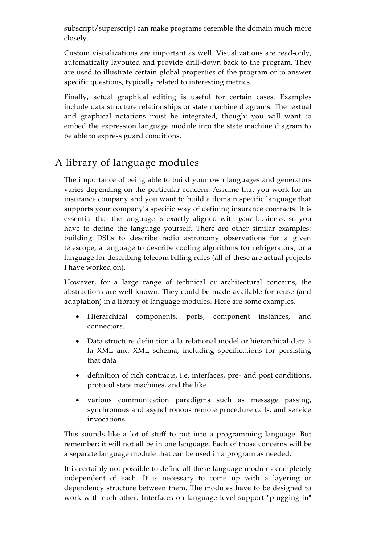subscript/superscript can make programs resemble the domain much more closely.

Custom visualizations are important as well. Visualizations are read-only, automatically layouted and provide drill-down back to the program. They are used to illustrate certain global properties of the program or to answer specific questions, typically related to interesting metrics.

Finally, actual graphical editing is useful for certain cases. Examples include data structure relationships or state machine diagrams. The textual and graphical notations must be integrated, though: you will want to embed the expression language module into the state machine diagram to be able to express guard conditions.

# A library of language modules

The importance of being able to build your own languages and generators varies depending on the particular concern. Assume that you work for an insurance company and you want to build a domain specific language that supports your company's specific way of defining insurance contracts. It is essential that the language is exactly aligned with *your* business, so you have to define the language yourself. There are other similar examples: building DSLs to describe radio astronomy observations for a given telescope, a language to describe cooling algorithms for refrigerators, or a language for describing telecom billing rules (all of these are actual projects I have worked on).

However, for a large range of technical or architectural concerns, the abstractions are well known. They could be made available for reuse (and adaptation) in a library of language modules. Here are some examples.

- Hierarchical components, ports, component instances, and connectors.
- Data structure definition à la relational model or hierarchical data à la XML and XML schema, including specifications for persisting that data
- definition of rich contracts, i.e. interfaces, pre- and post conditions, protocol state machines, and the like
- various communication paradigms such as message passing, synchronous and asynchronous remote procedure calls, and service invocations

This sounds like a lot of stuff to put into a programming language. But remember: it will not all be in one language. Each of those concerns will be a separate language module that can be used in a program as needed.

It is certainly not possible to define all these language modules completely independent of each. It is necessary to come up with a layering or dependency structure between them. The modules have to be designed to work with each other. Interfaces on language level support "plugging in"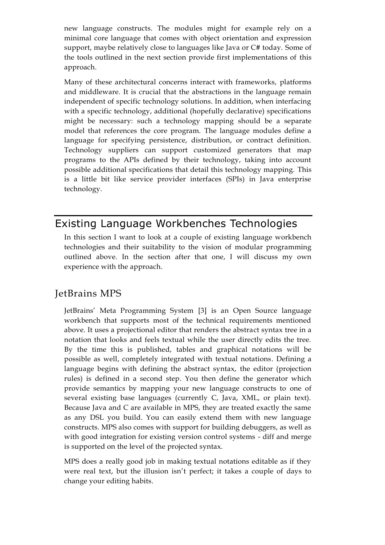new language constructs. The modules might for example rely on a minimal core language that comes with object orientation and expression support, maybe relatively close to languages like Java or C# today. Some of the tools outlined in the next section provide first implementations of this approach.

Many of these architectural concerns interact with frameworks, platforms and middleware. It is crucial that the abstractions in the language remain independent of specific technology solutions. In addition, when interfacing with a specific technology, additional (hopefully declarative) specifications might be necessary: such a technology mapping should be a separate model that references the core program. The language modules define a language for specifying persistence, distribution, or contract definition. Technology suppliers can support customized generators that map programs to the APIs defined by their technology, taking into account possible additional specifications that detail this technology mapping. This is a little bit like service provider interfaces (SPIs) in Java enterprise technology.

# Existing Language Workbenches Technologies

In this section I want to look at a couple of existing language workbench technologies and their suitability to the vision of modular programming outlined above. In the section after that one, I will discuss my own experience with the approach.

#### JetBrains MPS

JetBrains' Meta Programming System [3] is an Open Source language workbench that supports most of the technical requirements mentioned above. It uses a projectional editor that renders the abstract syntax tree in a notation that looks and feels textual while the user directly edits the tree. By the time this is published, tables and graphical notations will be possible as well, completely integrated with textual notations. Defining a language begins with defining the abstract syntax, the editor (projection rules) is defined in a second step. You then define the generator which provide semantics by mapping your new language constructs to one of several existing base languages (currently C, Java, XML, or plain text). Because Java and C are available in MPS, they are treated exactly the same as any DSL you build. You can easily extend them with new language constructs. MPS also comes with support for building debuggers, as well as with good integration for existing version control systems - diff and merge is supported on the level of the projected syntax.

MPS does a really good job in making textual notations editable as if they were real text, but the illusion isn't perfect; it takes a couple of days to change your editing habits.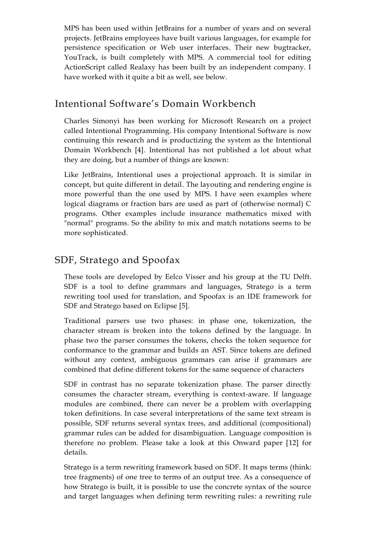MPS has been used within JetBrains for a number of years and on several projects. JetBrains employees have built various languages, for example for persistence specification or Web user interfaces. Their new bugtracker, YouTrack, is built completely with MPS. A commercial tool for editing ActionScript called Realaxy has been built by an independent company. I have worked with it quite a bit as well, see below.

#### Intentional Software's Domain Workbench

Charles Simonyi has been working for Microsoft Research on a project called Intentional Programming. His company Intentional Software is now continuing this research and is productizing the system as the Intentional Domain Workbench [4]. Intentional has not published a lot about what they are doing, but a number of things are known:

Like JetBrains, Intentional uses a projectional approach. It is similar in concept, but quite different in detail. The layouting and rendering engine is more powerful than the one used by MPS. I have seen examples where logical diagrams or fraction bars are used as part of (otherwise normal) C programs. Other examples include insurance mathematics mixed with "normal" programs. So the ability to mix and match notations seems to be more sophisticated.

#### SDF, Stratego and Spoofax

These tools are developed by Eelco Visser and his group at the TU Delft. SDF is a tool to define grammars and languages, Stratego is a term rewriting tool used for translation, and Spoofax is an IDE framework for SDF and Stratego based on Eclipse [5].

Traditional parsers use two phases: in phase one, tokenization, the character stream is broken into the tokens defined by the language. In phase two the parser consumes the tokens, checks the token sequence for conformance to the grammar and builds an AST. Since tokens are defined without any context, ambiguous grammars can arise if grammars are combined that define different tokens for the same sequence of characters

SDF in contrast has no separate tokenization phase. The parser directly consumes the character stream, everything is context-aware. If language modules are combined, there can never be a problem with overlapping token definitions. In case several interpretations of the same text stream is possible, SDF returns several syntax trees, and additional (compositional) grammar rules can be added for disambiguation. Language composition is therefore no problem. Please take a look at this Onward paper [12] for details.

Stratego is a term rewriting framework based on SDF. It maps terms (think: tree fragments) of one tree to terms of an output tree. As a consequence of how Stratego is built, it is possible to use the concrete syntax of the source and target languages when defining term rewriting rules: a rewriting rule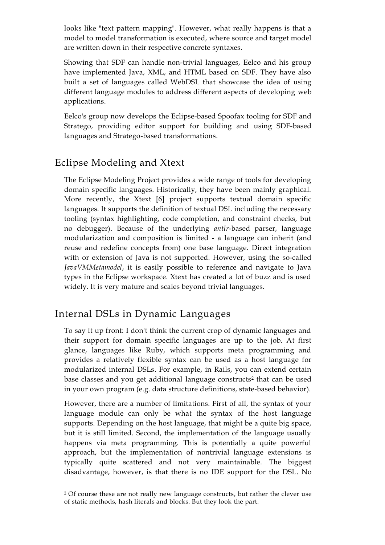looks like "text pattern mapping". However, what really happens is that a model to model transformation is executed, where source and target model are written down in their respective concrete syntaxes.

Showing that SDF can handle non-trivial languages, Eelco and his group have implemented Java, XML, and HTML based on SDF. They have also built a set of languages called WebDSL that showcase the idea of using different language modules to address different aspects of developing web applications.

Eelco's group now develops the Eclipse-based Spoofax tooling for SDF and Stratego, providing editor support for building and using SDF-based languages and Stratego-based transformations.

# Eclipse Modeling and Xtext

The Eclipse Modeling Project provides a wide range of tools for developing domain specific languages. Historically, they have been mainly graphical. More recently, the Xtext [6] project supports textual domain specific languages. It supports the definition of textual DSL including the necessary tooling (syntax highlighting, code completion, and constraint checks, but no debugger). Because of the underlying *antlr*-based parser, language modularization and composition is limited - a language can inherit (and reuse and redefine concepts from) one base language. Direct integration with or extension of Java is not supported. However, using the so-called *JavaVMMetamodel*, it is easily possible to reference and navigate to Java types in the Eclipse workspace. Xtext has created a lot of buzz and is used widely. It is very mature and scales beyond trivial languages.

## Internal DSLs in Dynamic Languages

 $\overline{a}$ 

To say it up front: I don't think the current crop of dynamic languages and their support for domain specific languages are up to the job. At first glance, languages like Ruby, which supports meta programming and provides a relatively flexible syntax can be used as a host language for modularized internal DSLs. For example, in Rails, you can extend certain base classes and you get additional language constructs<sup>2</sup> that can be used in your own program (e.g. data structure definitions, state-based behavior).

However, there are a number of limitations. First of all, the syntax of your language module can only be what the syntax of the host language supports. Depending on the host language, that might be a quite big space, but it is still limited. Second, the implementation of the language usually happens via meta programming. This is potentially a quite powerful approach, but the implementation of nontrivial language extensions is typically quite scattered and not very maintainable. The biggest disadvantage, however, is that there is no IDE support for the DSL. No

<sup>&</sup>lt;sup>2</sup> Of course these are not really new language constructs, but rather the clever use of static methods, hash literals and blocks. But they look the part.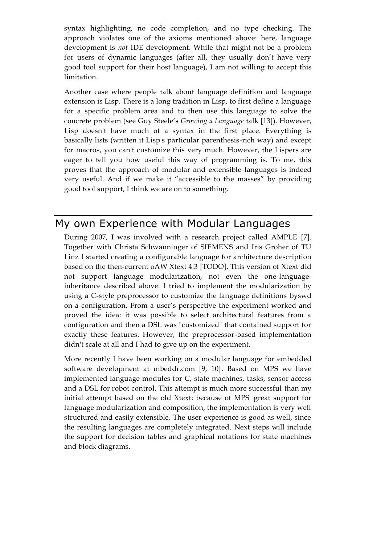syntax highlighting, no code completion, and no type checking. The approach violates one of the axioms mentioned above: here, language development is *not* IDE development. While that might not be a problem for users of dynamic languages (after all, they usually don't have very good tool support for their host language), I am not willing to accept this limitation.

Another case where people talk about language definition and language extension is Lisp. There is a long tradition in Lisp, to first define a language for a specific problem area and to then use this language to solve the concrete problem (see Guy Steele's *Growing a Language* talk [13]). However, Lisp doesn't have much of a syntax in the first place. Everything is basically lists (written it Lisp's particular parenthesis-rich way) and except for macros, you can't customize this very much. However, the Lispers are eager to tell you how useful this way of programming is. To me, this proves that the approach of modular and extensible languages is indeed very useful. And if we make it "accessible to the masses" by providing good tool support, I think we are on to something.

# My own Experience with Modular Languages

During 2007, I was involved with a research project called AMPLE [7]. Together with Christa Schwanninger of SIEMENS and Iris Groher of TU Linz I started creating a configurable language for architecture description based on the then-current oAW Xtext 4.3 [TODO]. This version of Xtext did not support language modularization, not even the one-languageinheritance described above. I tried to implement the modularization by using a C-style preprocessor to customize the language definitions byswd on a configuration. From a user's perspective the experiment worked and proved the idea: it was possible to select architectural features from a configuration and then a DSL was "customized" that contained support for exactly these features. However, the preprocessor-based implementation didn't scale at all and I had to give up on the experiment.

More recently I have been working on a modular language for embedded software development at mbeddr.com [9, 10]. Based on MPS we have implemented language modules for C, state machines, tasks, sensor access and a DSL for robot control. This attempt is much more successful than my initial attempt based on the old Xtext: because of MPS' great support for language modularization and composition, the implementation is very well structured and easily extensible. The user experience is good as well, since the resulting languages are completely integrated. Next steps will include the support for decision tables and graphical notations for state machines and block diagrams.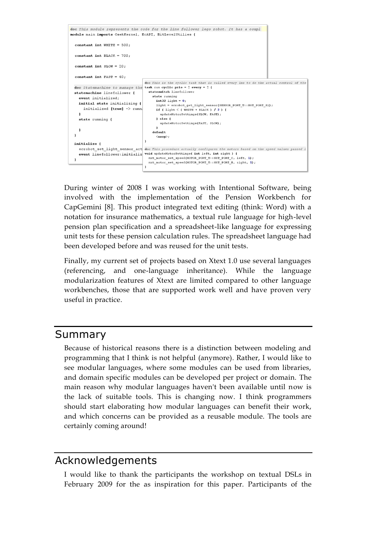

During winter of 2008 I was working with Intentional Software, being involved with the implementation of the Pension Workbench for CapGemini [8]. This product integrated text editing (think: Word) with a notation for insurance mathematics, a textual rule language for high-level pension plan specification and a spreadsheet-like language for expressing unit tests for these pension calculation rules. The spreadsheet language had been developed before and was reused for the unit tests.

Finally, my current set of projects based on Xtext 1.0 use several languages (referencing, and one-language inheritance). While the language modularization features of Xtext are limited compared to other language workbenches, those that are supported work well and have proven very useful in practice.

#### Summary

Because of historical reasons there is a distinction between modeling and programming that I think is not helpful (anymore). Rather, I would like to see modular languages, where some modules can be used from libraries, and domain specific modules can be developed per project or domain. The main reason why modular languages haven't been available until now is the lack of suitable tools. This is changing now. I think programmers should start elaborating how modular languages can benefit their work, and which concerns can be provided as a reusable module. The tools are certainly coming around!

#### Acknowledgements

I would like to thank the participants the workshop on textual DSLs in February 2009 for the as inspiration for this paper. Participants of the